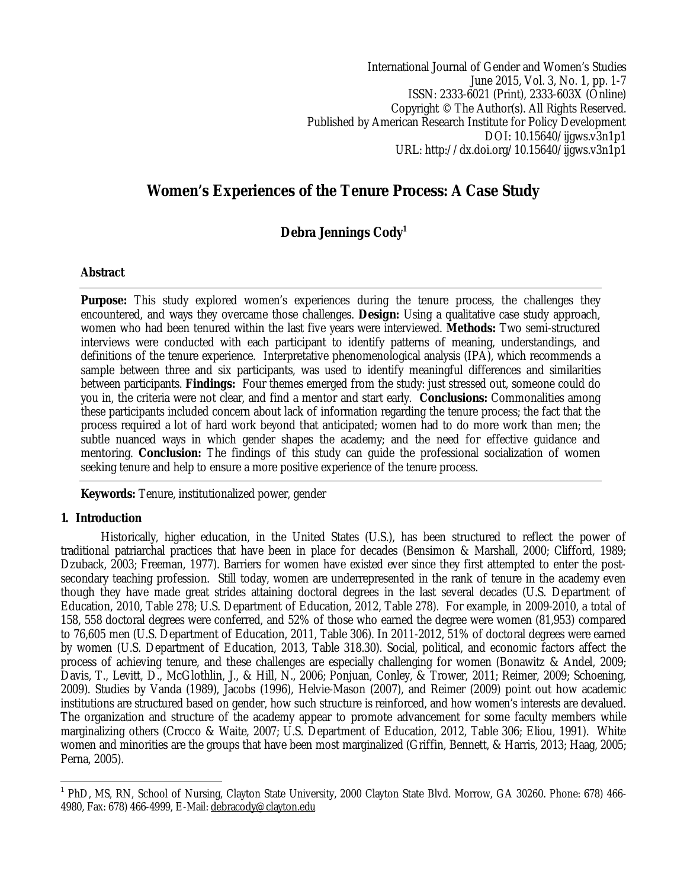International Journal of Gender and Women's Studies June 2015, Vol. 3, No. 1, pp. 1-7 ISSN: 2333-6021 (Print), 2333-603X (Online) Copyright © The Author(s). All Rights Reserved. Published by American Research Institute for Policy Development DOI: 10.15640/ijgws.v3n1p1 URL: http://dx.doi.org/10.15640/ijgws.v3n1p1

# **Women's Experiences of the Tenure Process: A Case Study**

## **Debra Jennings Cody<sup>1</sup>**

## **Abstract**

**Purpose:** This study explored women's experiences during the tenure process, the challenges they encountered, and ways they overcame those challenges. **Design:** Using a qualitative case study approach, women who had been tenured within the last five years were interviewed. **Methods:** Two semi-structured interviews were conducted with each participant to identify patterns of meaning, understandings, and definitions of the tenure experience. Interpretative phenomenological analysis (IPA), which recommends a sample between three and six participants, was used to identify meaningful differences and similarities between participants. **Findings:** Four themes emerged from the study: just stressed out, someone could do you in, the criteria were not clear, and find a mentor and start early. **Conclusions:** Commonalities among these participants included concern about lack of information regarding the tenure process; the fact that the process required a lot of hard work beyond that anticipated; women had to do more work than men; the subtle nuanced ways in which gender shapes the academy; and the need for effective guidance and mentoring. **Conclusion:** The findings of this study can guide the professional socialization of women seeking tenure and help to ensure a more positive experience of the tenure process.

**Keywords:** Tenure, institutionalized power, gender

## **1. Introduction**

 $\overline{\phantom{a}}$ 

Historically, higher education, in the United States (U.S.), has been structured to reflect the power of traditional patriarchal practices that have been in place for decades (Bensimon & Marshall, 2000; Clifford, 1989; Dzuback, 2003; Freeman, 1977). Barriers for women have existed ever since they first attempted to enter the postsecondary teaching profession. Still today, women are underrepresented in the rank of tenure in the academy even though they have made great strides attaining doctoral degrees in the last several decades (U.S. Department of Education, 2010, Table 278; U.S. Department of Education, 2012, Table 278). For example, in 2009-2010, a total of 158, 558 doctoral degrees were conferred, and 52% of those who earned the degree were women (81,953) compared to 76,605 men (U.S. Department of Education, 2011, Table 306). In 2011-2012, 51% of doctoral degrees were earned by women (U.S. Department of Education, 2013, Table 318.30). Social, political, and economic factors affect the process of achieving tenure, and these challenges are especially challenging for women (Bonawitz & Andel, 2009; Davis, T., Levitt, D., McGlothlin, J., & Hill, N., 2006; Ponjuan, Conley, & Trower, 2011; Reimer, 2009; Schoening, 2009). Studies by Vanda (1989), Jacobs (1996), Helvie-Mason (2007), and Reimer (2009) point out how academic institutions are structured based on gender, how such structure is reinforced, and how women's interests are devalued. The organization and structure of the academy appear to promote advancement for some faculty members while marginalizing others (Crocco & Waite, 2007; U.S. Department of Education, 2012, Table 306; Eliou, 1991). White women and minorities are the groups that have been most marginalized (Griffin, Bennett, & Harris, 2013; Haag, 2005; Perna, 2005).

<sup>1</sup> PhD, MS, RN, School of Nursing, Clayton State University, 2000 Clayton State Blvd. Morrow, GA 30260. Phone: 678) 466- 4980, Fax: 678) 466-4999, E-Mail: debracody@clayton.edu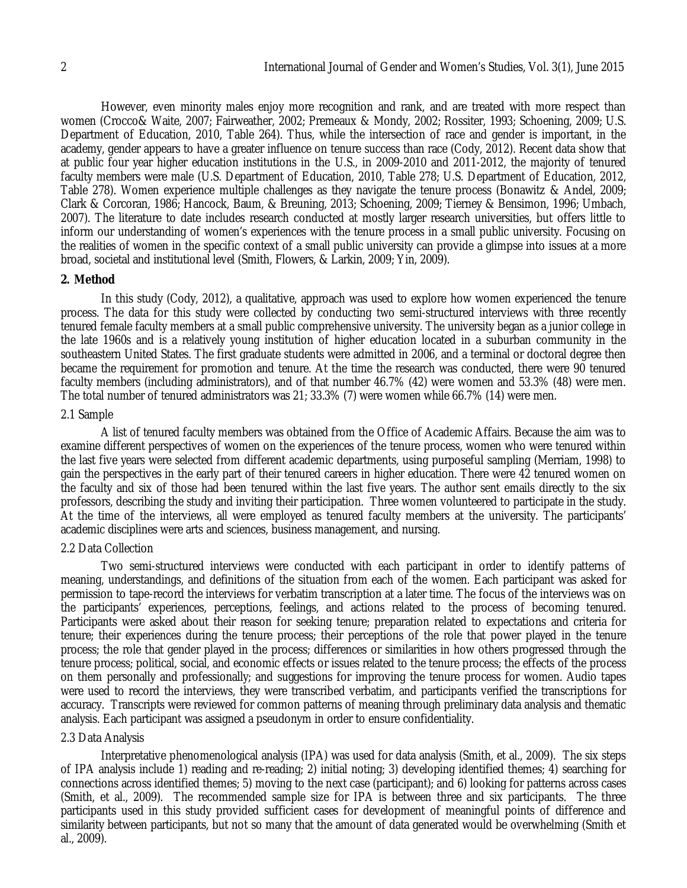However, even minority males enjoy more recognition and rank, and are treated with more respect than women (Crocco& Waite, 2007; Fairweather, 2002; Premeaux & Mondy, 2002; Rossiter, 1993; Schoening, 2009; U.S. Department of Education, 2010, Table 264). Thus, while the intersection of race and gender is important, in the academy, gender appears to have a greater influence on tenure success than race (Cody, 2012). Recent data show that at public four year higher education institutions in the U.S., in 2009-2010 and 2011-2012, the majority of tenured faculty members were male (U.S. Department of Education, 2010, Table 278; U.S. Department of Education, 2012, Table 278). Women experience multiple challenges as they navigate the tenure process (Bonawitz & Andel, 2009; Clark & Corcoran, 1986; Hancock, Baum, & Breuning, 2013; Schoening, 2009; Tierney & Bensimon, 1996; Umbach, 2007). The literature to date includes research conducted at mostly larger research universities, but offers little to inform our understanding of women's experiences with the tenure process in a small public university. Focusing on the realities of women in the specific context of a small public university can provide a glimpse into issues at a more broad, societal and institutional level (Smith, Flowers, & Larkin, 2009; Yin, 2009).

#### **2. Method**

In this study (Cody, 2012), a qualitative, approach was used to explore how women experienced the tenure process. The data for this study were collected by conducting two semi-structured interviews with three recently tenured female faculty members at a small public comprehensive university. The university began as a junior college in the late 1960s and is a relatively young institution of higher education located in a suburban community in the southeastern United States. The first graduate students were admitted in 2006, and a terminal or doctoral degree then became the requirement for promotion and tenure. At the time the research was conducted, there were 90 tenured faculty members (including administrators), and of that number 46.7% (42) were women and 53.3% (48) were men. The total number of tenured administrators was 21; 33.3% (7) were women while 66.7% (14) were men.

#### 2.1 Sample

A list of tenured faculty members was obtained from the Office of Academic Affairs. Because the aim was to examine different perspectives of women on the experiences of the tenure process, women who were tenured within the last five years were selected from different academic departments, using purposeful sampling (Merriam, 1998) to gain the perspectives in the early part of their tenured careers in higher education. There were 42 tenured women on the faculty and six of those had been tenured within the last five years. The author sent emails directly to the six professors, describing the study and inviting their participation. Three women volunteered to participate in the study. At the time of the interviews, all were employed as tenured faculty members at the university. The participants' academic disciplines were arts and sciences, business management, and nursing.

#### 2.2 Data Collection

Two semi-structured interviews were conducted with each participant in order to identify patterns of meaning, understandings, and definitions of the situation from each of the women. Each participant was asked for permission to tape-record the interviews for verbatim transcription at a later time. The focus of the interviews was on the participants' experiences, perceptions, feelings, and actions related to the process of becoming tenured. Participants were asked about their reason for seeking tenure; preparation related to expectations and criteria for tenure; their experiences during the tenure process; their perceptions of the role that power played in the tenure process; the role that gender played in the process; differences or similarities in how others progressed through the tenure process; political, social, and economic effects or issues related to the tenure process; the effects of the process on them personally and professionally; and suggestions for improving the tenure process for women. Audio tapes were used to record the interviews, they were transcribed verbatim, and participants verified the transcriptions for accuracy. Transcripts were reviewed for common patterns of meaning through preliminary data analysis and thematic analysis. Each participant was assigned a pseudonym in order to ensure confidentiality.

#### 2.3 Data Analysis

Interpretative phenomenological analysis (IPA) was used for data analysis (Smith, et al., 2009). The six steps of IPA analysis include 1) reading and re-reading; 2) initial noting; 3) developing identified themes; 4) searching for connections across identified themes; 5) moving to the next case (participant); and 6) looking for patterns across cases (Smith, et al., 2009). The recommended sample size for IPA is between three and six participants. The three participants used in this study provided sufficient cases for development of meaningful points of difference and similarity between participants, but not so many that the amount of data generated would be overwhelming (Smith et al., 2009).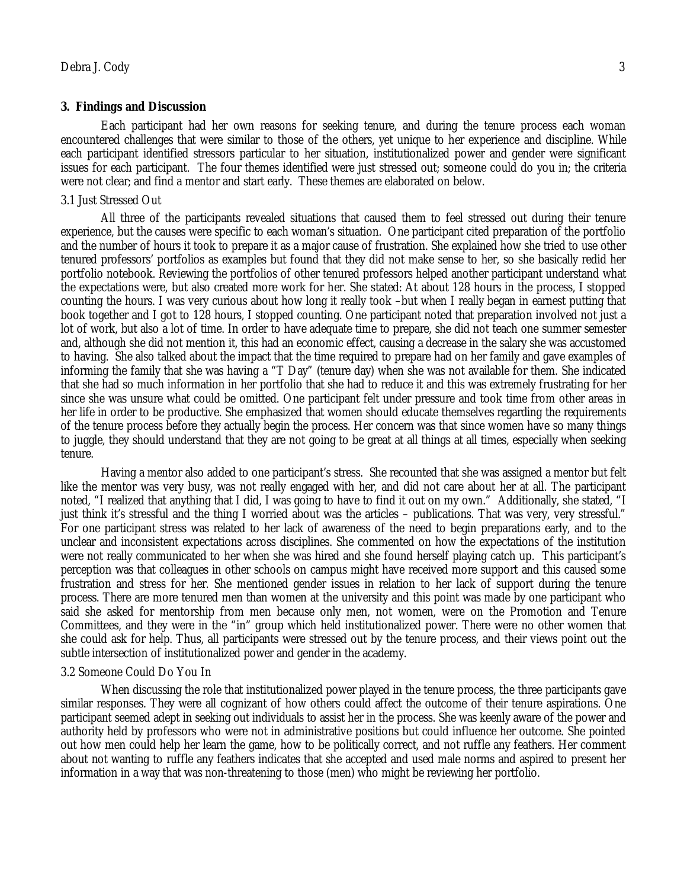#### **3. Findings and Discussion**

Each participant had her own reasons for seeking tenure, and during the tenure process each woman encountered challenges that were similar to those of the others, yet unique to her experience and discipline. While each participant identified stressors particular to her situation, institutionalized power and gender were significant issues for each participant. The four themes identified were just stressed out; someone could do you in; the criteria were not clear; and find a mentor and start early. These themes are elaborated on below.

#### 3.1 Just Stressed Out

All three of the participants revealed situations that caused them to feel stressed out during their tenure experience, but the causes were specific to each woman's situation. One participant cited preparation of the portfolio and the number of hours it took to prepare it as a major cause of frustration. She explained how she tried to use other tenured professors' portfolios as examples but found that they did not make sense to her, so she basically redid her portfolio notebook. Reviewing the portfolios of other tenured professors helped another participant understand what the expectations were, but also created more work for her. She stated: At about 128 hours in the process, I stopped counting the hours. I was very curious about how long it really took –but when I really began in earnest putting that book together and I got to 128 hours, I stopped counting. One participant noted that preparation involved not just a lot of work, but also a lot of time. In order to have adequate time to prepare, she did not teach one summer semester and, although she did not mention it, this had an economic effect, causing a decrease in the salary she was accustomed to having. She also talked about the impact that the time required to prepare had on her family and gave examples of informing the family that she was having a "T Day" (tenure day) when she was not available for them. She indicated that she had so much information in her portfolio that she had to reduce it and this was extremely frustrating for her since she was unsure what could be omitted. One participant felt under pressure and took time from other areas in her life in order to be productive. She emphasized that women should educate themselves regarding the requirements of the tenure process before they actually begin the process. Her concern was that since women have so many things to juggle, they should understand that they are not going to be great at all things at all times, especially when seeking tenure.

Having a mentor also added to one participant's stress. She recounted that she was assigned a mentor but felt like the mentor was very busy, was not really engaged with her, and did not care about her at all. The participant noted, "I realized that anything that I did, I was going to have to find it out on my own." Additionally, she stated, "I just think it's stressful and the thing I worried about was the articles – publications. That was very, very stressful." For one participant stress was related to her lack of awareness of the need to begin preparations early, and to the unclear and inconsistent expectations across disciplines. She commented on how the expectations of the institution were not really communicated to her when she was hired and she found herself playing catch up. This participant's perception was that colleagues in other schools on campus might have received more support and this caused some frustration and stress for her. She mentioned gender issues in relation to her lack of support during the tenure process. There are more tenured men than women at the university and this point was made by one participant who said she asked for mentorship from men because only men, not women, were on the Promotion and Tenure Committees, and they were in the "in" group which held institutionalized power. There were no other women that she could ask for help. Thus, all participants were stressed out by the tenure process, and their views point out the subtle intersection of institutionalized power and gender in the academy.

#### 3.2 Someone Could Do You In

When discussing the role that institutionalized power played in the tenure process, the three participants gave similar responses. They were all cognizant of how others could affect the outcome of their tenure aspirations. One participant seemed adept in seeking out individuals to assist her in the process. She was keenly aware of the power and authority held by professors who were not in administrative positions but could influence her outcome. She pointed out how men could help her learn the game, how to be politically correct, and not ruffle any feathers. Her comment about not wanting to ruffle any feathers indicates that she accepted and used male norms and aspired to present her information in a way that was non-threatening to those (men) who might be reviewing her portfolio.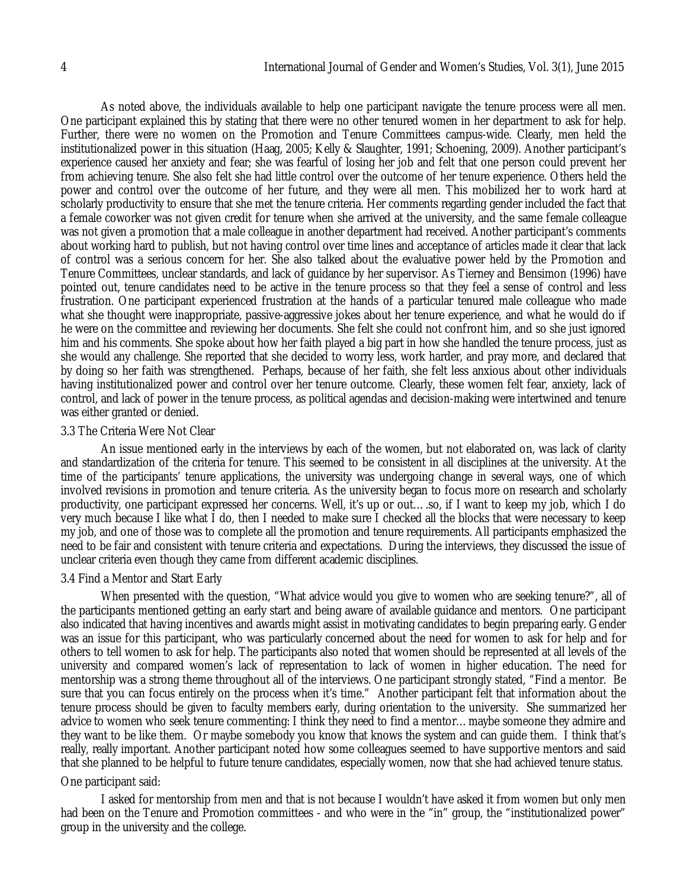As noted above, the individuals available to help one participant navigate the tenure process were all men. One participant explained this by stating that there were no other tenured women in her department to ask for help. Further, there were no women on the Promotion and Tenure Committees campus-wide. Clearly, men held the institutionalized power in this situation (Haag, 2005; Kelly & Slaughter, 1991; Schoening, 2009). Another participant's experience caused her anxiety and fear; she was fearful of losing her job and felt that one person could prevent her from achieving tenure. She also felt she had little control over the outcome of her tenure experience. Others held the power and control over the outcome of her future, and they were all men. This mobilized her to work hard at scholarly productivity to ensure that she met the tenure criteria. Her comments regarding gender included the fact that a female coworker was not given credit for tenure when she arrived at the university, and the same female colleague was not given a promotion that a male colleague in another department had received. Another participant's comments about working hard to publish, but not having control over time lines and acceptance of articles made it clear that lack of control was a serious concern for her. She also talked about the evaluative power held by the Promotion and Tenure Committees, unclear standards, and lack of guidance by her supervisor. As Tierney and Bensimon (1996) have pointed out, tenure candidates need to be active in the tenure process so that they feel a sense of control and less frustration. One participant experienced frustration at the hands of a particular tenured male colleague who made what she thought were inappropriate, passive-aggressive jokes about her tenure experience, and what he would do if he were on the committee and reviewing her documents. She felt she could not confront him, and so she just ignored him and his comments. She spoke about how her faith played a big part in how she handled the tenure process, just as she would any challenge. She reported that she decided to worry less, work harder, and pray more, and declared that by doing so her faith was strengthened. Perhaps, because of her faith, she felt less anxious about other individuals having institutionalized power and control over her tenure outcome. Clearly, these women felt fear, anxiety, lack of control, and lack of power in the tenure process, as political agendas and decision-making were intertwined and tenure

#### 3.3 The Criteria Were Not Clear

was either granted or denied.

An issue mentioned early in the interviews by each of the women, but not elaborated on, was lack of clarity and standardization of the criteria for tenure. This seemed to be consistent in all disciplines at the university. At the time of the participants' tenure applications, the university was undergoing change in several ways, one of which involved revisions in promotion and tenure criteria. As the university began to focus more on research and scholarly productivity, one participant expressed her concerns. Well, it's up or out….so, if I want to keep my job, which I do very much because I like what I do, then I needed to make sure I checked all the blocks that were necessary to keep my job, and one of those was to complete all the promotion and tenure requirements. All participants emphasized the need to be fair and consistent with tenure criteria and expectations. During the interviews, they discussed the issue of unclear criteria even though they came from different academic disciplines.

#### 3.4 Find a Mentor and Start Early

When presented with the question, "What advice would you give to women who are seeking tenure?", all of the participants mentioned getting an early start and being aware of available guidance and mentors. One participant also indicated that having incentives and awards might assist in motivating candidates to begin preparing early. Gender was an issue for this participant, who was particularly concerned about the need for women to ask for help and for others to tell women to ask for help. The participants also noted that women should be represented at all levels of the university and compared women's lack of representation to lack of women in higher education. The need for mentorship was a strong theme throughout all of the interviews. One participant strongly stated, "Find a mentor. Be sure that you can focus entirely on the process when it's time." Another participant felt that information about the tenure process should be given to faculty members early, during orientation to the university. She summarized her advice to women who seek tenure commenting: I think they need to find a mentor…maybe someone they admire and they want to be like them. Or maybe somebody you know that knows the system and can guide them. I think that's really, really important. Another participant noted how some colleagues seemed to have supportive mentors and said that she planned to be helpful to future tenure candidates, especially women, now that she had achieved tenure status.

#### One participant said:

I asked for mentorship from men and that is not because I wouldn't have asked it from women but only men had been on the Tenure and Promotion committees - and who were in the "in" group, the "institutionalized power" group in the university and the college.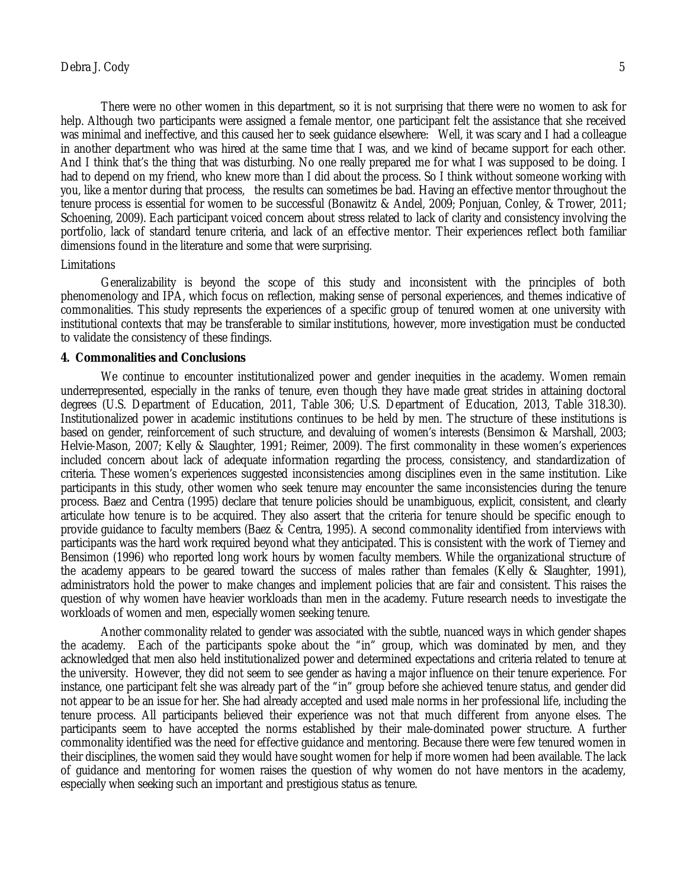There were no other women in this department, so it is not surprising that there were no women to ask for help. Although two participants were assigned a female mentor, one participant felt the assistance that she received was minimal and ineffective, and this caused her to seek guidance elsewhere: Well, it was scary and I had a colleague in another department who was hired at the same time that I was, and we kind of became support for each other. And I think that's the thing that was disturbing. No one really prepared me for what I was supposed to be doing. I had to depend on my friend, who knew more than I did about the process. So I think without someone working with you, like a mentor during that process, the results can sometimes be bad. Having an effective mentor throughout the tenure process is essential for women to be successful (Bonawitz & Andel, 2009; Ponjuan, Conley, & Trower, 2011; Schoening, 2009). Each participant voiced concern about stress related to lack of clarity and consistency involving the portfolio, lack of standard tenure criteria, and lack of an effective mentor. Their experiences reflect both familiar dimensions found in the literature and some that were surprising.

#### Limitations

Generalizability is beyond the scope of this study and inconsistent with the principles of both phenomenology and IPA, which focus on reflection, making sense of personal experiences, and themes indicative of commonalities. This study represents the experiences of a specific group of tenured women at one university with institutional contexts that may be transferable to similar institutions, however, more investigation must be conducted to validate the consistency of these findings.

#### **4. Commonalities and Conclusions**

We continue to encounter institutionalized power and gender inequities in the academy. Women remain underrepresented, especially in the ranks of tenure, even though they have made great strides in attaining doctoral degrees (U.S. Department of Education, 2011, Table 306; U.S. Department of Education, 2013, Table 318.30). Institutionalized power in academic institutions continues to be held by men. The structure of these institutions is based on gender, reinforcement of such structure, and devaluing of women's interests (Bensimon & Marshall, 2003; Helvie-Mason, 2007; Kelly & Slaughter, 1991; Reimer, 2009). The first commonality in these women's experiences included concern about lack of adequate information regarding the process, consistency, and standardization of criteria. These women's experiences suggested inconsistencies among disciplines even in the same institution. Like participants in this study, other women who seek tenure may encounter the same inconsistencies during the tenure process. Baez and Centra (1995) declare that tenure policies should be unambiguous, explicit, consistent, and clearly articulate how tenure is to be acquired. They also assert that the criteria for tenure should be specific enough to provide guidance to faculty members (Baez & Centra, 1995). A second commonality identified from interviews with participants was the hard work required beyond what they anticipated. This is consistent with the work of Tierney and Bensimon (1996) who reported long work hours by women faculty members. While the organizational structure of the academy appears to be geared toward the success of males rather than females (Kelly & Slaughter, 1991), administrators hold the power to make changes and implement policies that are fair and consistent. This raises the question of why women have heavier workloads than men in the academy. Future research needs to investigate the workloads of women and men, especially women seeking tenure.

Another commonality related to gender was associated with the subtle, nuanced ways in which gender shapes the academy. Each of the participants spoke about the "in" group, which was dominated by men, and they acknowledged that men also held institutionalized power and determined expectations and criteria related to tenure at the university. However, they did not seem to see gender as having a major influence on their tenure experience. For instance, one participant felt she was already part of the "in" group before she achieved tenure status, and gender did not appear to be an issue for her. She had already accepted and used male norms in her professional life, including the tenure process. All participants believed their experience was not that much different from anyone elses. The participants seem to have accepted the norms established by their male-dominated power structure. A further commonality identified was the need for effective guidance and mentoring. Because there were few tenured women in their disciplines, the women said they would have sought women for help if more women had been available. The lack of guidance and mentoring for women raises the question of why women do not have mentors in the academy, especially when seeking such an important and prestigious status as tenure.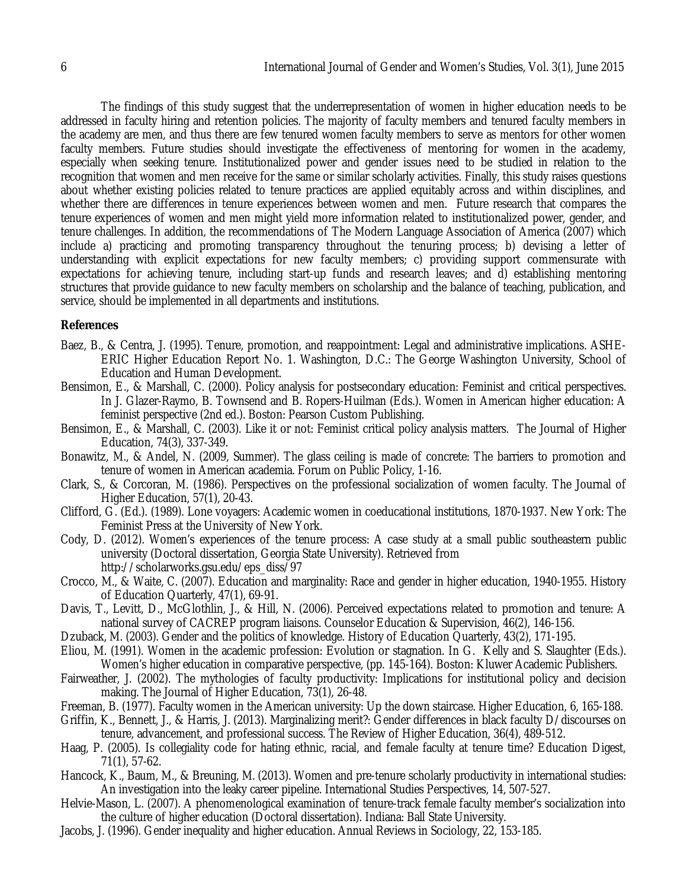The findings of this study suggest that the underrepresentation of women in higher education needs to be addressed in faculty hiring and retention policies. The majority of faculty members and tenured faculty members in the academy are men, and thus there are few tenured women faculty members to serve as mentors for other women faculty members. Future studies should investigate the effectiveness of mentoring for women in the academy, especially when seeking tenure. Institutionalized power and gender issues need to be studied in relation to the recognition that women and men receive for the same or similar scholarly activities. Finally, this study raises questions about whether existing policies related to tenure practices are applied equitably across and within disciplines, and whether there are differences in tenure experiences between women and men. Future research that compares the tenure experiences of women and men might yield more information related to institutionalized power, gender, and tenure challenges. In addition, the recommendations of The Modern Language Association of America (2007) which include a) practicing and promoting transparency throughout the tenuring process; b) devising a letter of understanding with explicit expectations for new faculty members; c) providing support commensurate with expectations for achieving tenure, including start-up funds and research leaves; and d) establishing mentoring structures that provide guidance to new faculty members on scholarship and the balance of teaching, publication, and service, should be implemented in all departments and institutions.

### **References**

- Baez, B., & Centra, J. (1995). Tenure, promotion, and reappointment: Legal and administrative implications. ASHE-ERIC Higher Education Report No. 1. Washington, D.C.: The George Washington University, School of Education and Human Development.
- Bensimon, E., & Marshall, C. (2000). Policy analysis for postsecondary education: Feminist and critical perspectives. In J. Glazer-Raymo, B. Townsend and B. Ropers-Huilman (Eds.). Women in American higher education: A feminist perspective (2nd ed.). Boston: Pearson Custom Publishing.
- Bensimon, E., & Marshall, C. (2003). Like it or not: Feminist critical policy analysis matters. The Journal of Higher Education, 74(3), 337-349.
- Bonawitz, M., & Andel, N. (2009, Summer). The glass ceiling is made of concrete: The barriers to promotion and tenure of women in American academia. Forum on Public Policy, 1-16.
- Clark, S., & Corcoran, M. (1986). Perspectives on the professional socialization of women faculty. The Journal of Higher Education, 57(1), 20-43.
- Clifford, G. (Ed.). (1989). Lone voyagers: Academic women in coeducational institutions, 1870-1937. New York: The Feminist Press at the University of New York.
- Cody, D. (2012). Women's experiences of the tenure process: A case study at a small public southeastern public university (Doctoral dissertation, Georgia State University). Retrieved from http://scholarworks.gsu.edu/eps\_diss/97
- Crocco, M., & Waite, C. (2007). Education and marginality: Race and gender in higher education, 1940-1955. History of Education Quarterly, 47(1), 69-91.
- Davis, T., Levitt, D., McGlothlin, J., & Hill, N. (2006). Perceived expectations related to promotion and tenure: A national survey of CACREP program liaisons. Counselor Education & Supervision, 46(2), 146-156.
- Dzuback, M. (2003). Gender and the politics of knowledge. History of Education Quarterly, 43(2), 171-195.
- Eliou, M. (1991). Women in the academic profession: Evolution or stagnation. In G. Kelly and S. Slaughter (Eds.). Women's higher education in comparative perspective, (pp. 145-164). Boston: Kluwer Academic Publishers.
- Fairweather, J. (2002). The mythologies of faculty productivity: Implications for institutional policy and decision making. The Journal of Higher Education, 73(1), 26-48.
- Freeman, B. (1977). Faculty women in the American university: Up the down staircase. Higher Education, 6, 165-188.
- Griffin, K., Bennett, J., & Harris, J. (2013). Marginalizing merit?: Gender differences in black faculty D/discourses on tenure, advancement, and professional success. The Review of Higher Education, 36(4), 489-512.
- Haag, P. (2005). Is collegiality code for hating ethnic, racial, and female faculty at tenure time? Education Digest, 71(1), 57-62.
- Hancock, K., Baum, M., & Breuning, M. (2013). Women and pre-tenure scholarly productivity in international studies: An investigation into the leaky career pipeline. International Studies Perspectives, 14, 507-527.
- Helvie-Mason, L. (2007). A phenomenological examination of tenure-track female faculty member's socialization into the culture of higher education (Doctoral dissertation). Indiana: Ball State University.
- Jacobs, J. (1996). Gender inequality and higher education. Annual Reviews in Sociology, 22, 153-185.